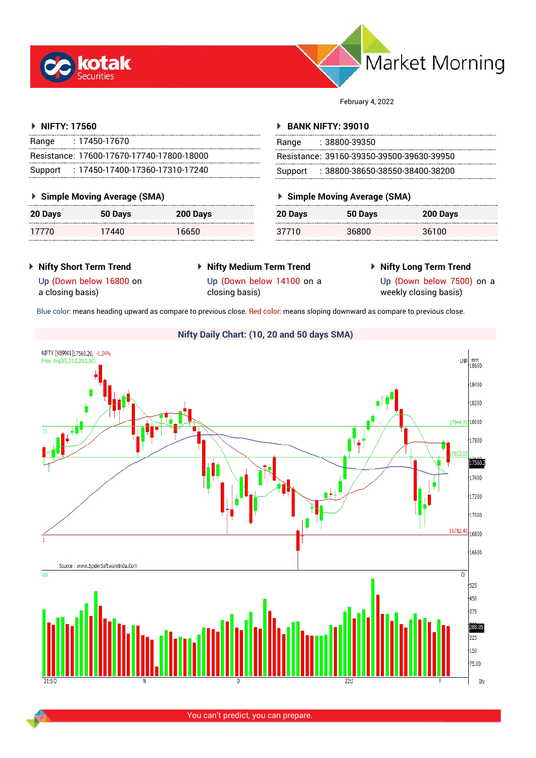



February 4, 2022

## **NIFTY: 17560**

| Range | $: 17450 - 17670$                         |
|-------|-------------------------------------------|
|       | Resistance: 17600-17670-17740-17800-18000 |
|       | Support: 17450-17400-17360-17310-17240    |

## **Simple Moving Average (SMA)**

| 20 Days | 50 Days | 200 Days |
|---------|---------|----------|
| 17770   | 17440   | 16650    |

## **BANK NIFTY: 39010**

| Range | :38800-39350                              |
|-------|-------------------------------------------|
|       | Resistance: 39160-39350-39500-39630-39950 |
|       | Support: : 38800-38650-38550-38400-38200  |

## **Simple Moving Average (SMA)**

| 20 Days | 50 Days | 200 Days |
|---------|---------|----------|
| 37710   | 36800   | 36100    |

- **Nifty Short Term Trend**
- **Nifty Medium Term Trend** closing basis)
- **Nifty Long Term Trend**

Up (Down below 16800 on a closing basis)

Up (Down below 14100 on a

Up (Down below 7500) on a weekly closing basis)

Blue color: means heading upward as compare to previous close. Red color: means sloping downward as compare to previous close.

# **Nifty Daily Chart: (10, 20 and 50 days SMA)**NIFTY [N59901]17560.20, -1.24%  $LNR$ <sub>-18600</sub> Price Avg3(S.10.S.20.S.50 18400 18200 17944.70 18000 17800 17560.2 17400 17200 17000 16782.40 16800 16600 Source: www.SpiderSoftwareIndia.Com  $\overline{G}$  $V_0$  $-525$  $450$  $375$ 288.05  $225$  $150$ 75.00 Dly

You can't predict, you can prepare.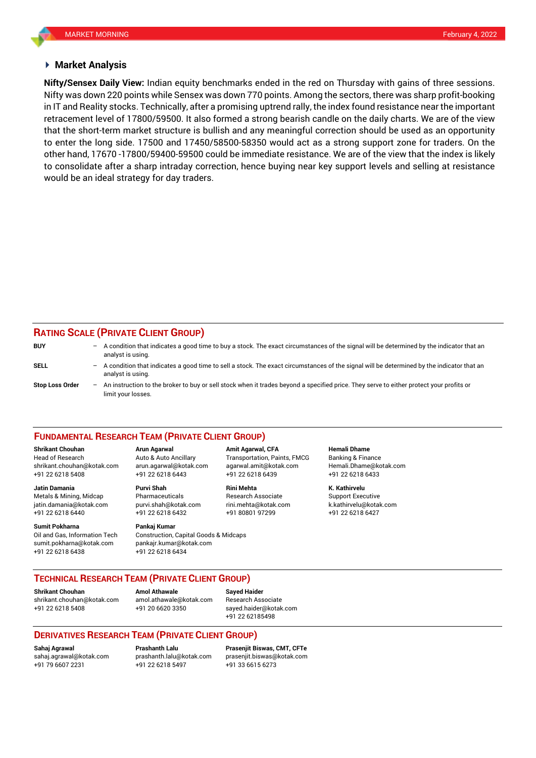### **Market Analysis**

Nifty was down 220 points while Sensex was down 770 points. Among the sectors, there was sharp profit-booking **Nifty/Sensex Daily View:** Indian equity benchmarks ended in the red on Thursday with gains of three sessions. in IT and Reality stocks. Technically, after a promising uptrend rally, the index found resistance near the important retracement level of 17800/59500. It also formed a strong bearish candle on the daily charts. We are of the view that the short-term market structure is bullish and any meaningful correction should be used as an opportunity to enter the long side. 17500 and 17450/58500-58350 would act as a strong support zone for traders. On the other hand, 17670 -17800/59400-59500 could be immediate resistance. We are of the view that the index is likely to consolidate after a sharp intraday correction, hence buying near key support levels and selling at resistance would be an ideal strategy for day traders.

## **RATING SCALE (PRIVATE CLIENT GROUP)**

| <b>BUY</b>             |     | $-$ A condition that indicates a good time to buy a stock. The exact circumstances of the signal will be determined by the indicator that an<br>analyst is using. |
|------------------------|-----|-------------------------------------------------------------------------------------------------------------------------------------------------------------------|
| SELL                   | -   | A condition that indicates a good time to sell a stock. The exact circumstances of the signal will be determined by the indicator that an<br>analyst is using.    |
| <b>Stop Loss Order</b> | $-$ | An instruction to the broker to buy or sell stock when it trades beyond a specified price. They serve to either protect your profits or<br>limit your losses.     |

#### **FUNDAMENTAL RESEARCH TEAM (PRIVATE CLIENT GROUP)**

Head of Research Auto & Auto Ancillary Transportation, Paints, FMCG Banking & Finance [shrikant.chouhan@kotak.com](mailto:shrikant.chouhan@kotak.com) arun.agarwal@kotak.com agarwal.amit@kotak.com Hemali.Dhame@kotak.com

**Jatin Damania Purvi Shah Rini Mehta K. Kathirvelu** Metals & Mining, Midcap Pharmaceuticals Research Associate Support Executive jatin.damania@kotak.com [purvi.shah@kotak.com](mailto:purvi.shah@kotak.com) rini.mehta@kotak.com [k.kathirvelu@kotak.com](mailto:k.kathirvelu@kotak.com) +91 22 6218 6440 +91 22 6218 6432 +91 80801 97299 +91 22 6218 6427

**Sumit Pokharna** Pankaj Kumar Oil and Gas, Information Tech Construction, Capital Goods & Midcaps sumit.pokharna@kotak.com pankajr.kumar@kotak.com +91 22 6218 6438 +91 22 6218 6434

+91 22 6218 5408 +91 22 6218 6443 +91 22 6218 6439 +91 22 6218 6433

**Shrikant Chouhan Arun Agarwal Amit Agarwal, CFA Hemali Dhame**

## **TECHNICAL RESEARCH TEAM (PRIVATE CLIENT GROUP)**

**Shrikant Chouhan Amol Athawale Sayed Haider**

[shrikant.chouhan@kotak.com](mailto:shrikant.chouhan@kotak.com) [amol.athawale@kotak.com](mailto:amol.athawale@kotak.com) Research Associate +91 22 6218 5408 +91 20 6620 3350 [sayed.haider@kotak.com](mailto:sayed.haider@kotak.com)

+91 22 62185498

## **DERIVATIVES RESEARCH TEAM (PRIVATE CLIENT GROUP)**

+91 22 6218 5497 +91 33 6615 6273

**Sahaj Agrawal Prashanth Lalu Prasenjit Biswas, CMT, CFTe** [sahaj.agrawal@kotak.com](mailto:sahaj.agrawal@kotak.com) [prashanth.lalu@kotak.com](mailto:prashanth.lalu@kotak.com) [prasenjit.biswas@kotak.com](mailto:prasenjit.biswas@kotak.com)